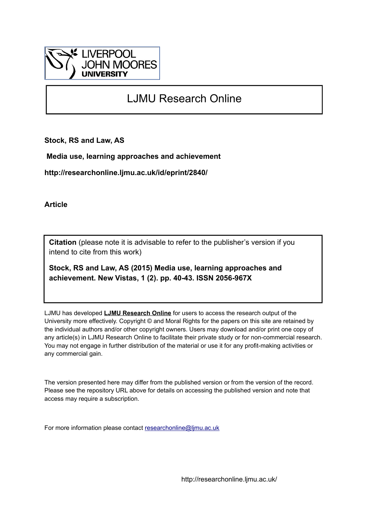

### LJMU Research Online

**Stock, RS and Law, AS**

 **Media use, learning approaches and achievement**

**http://researchonline.ljmu.ac.uk/id/eprint/2840/**

**Article**

**Citation** (please note it is advisable to refer to the publisher's version if you intend to cite from this work)

**Stock, RS and Law, AS (2015) Media use, learning approaches and achievement. New Vistas, 1 (2). pp. 40-43. ISSN 2056-967X** 

LJMU has developed **[LJMU Research Online](http://researchonline.ljmu.ac.uk/)** for users to access the research output of the University more effectively. Copyright © and Moral Rights for the papers on this site are retained by the individual authors and/or other copyright owners. Users may download and/or print one copy of any article(s) in LJMU Research Online to facilitate their private study or for non-commercial research. You may not engage in further distribution of the material or use it for any profit-making activities or any commercial gain.

The version presented here may differ from the published version or from the version of the record. Please see the repository URL above for details on accessing the published version and note that access may require a subscription.

For more information please contact [researchonline@ljmu.ac.uk](mailto:researchonline@ljmu.ac.uk)

http://researchonline.ljmu.ac.uk/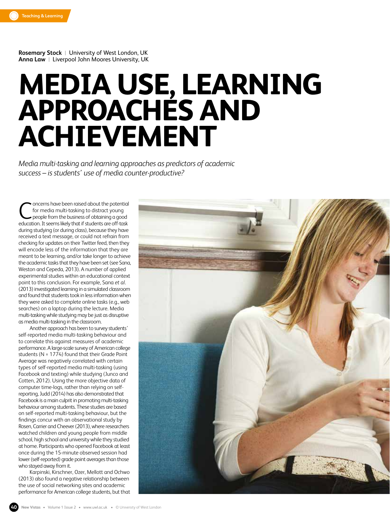

**Rosemary Stock** |University of West London, UK **Anna Law** |Liverpool John Moores University, UK

## **MEDIA USE, LEARNING APPROACHES AND ACHIEVEMENT**

*Media multi-tasking and learning approaches as predictors of academic success – is students' use of media counter-productive?*

oncerns have been raised about the potential for media multi-tasking to distract young people from the business of obtaining a good **C** oncerns have been raised about the potential<br>for media multi-tasking to distract young<br>people from the business of obtaining a good<br>education. It seems likely that if students are off-task during studying (or during class), because they have received a text message, or could not refrain from checking for updates on their Twitter feed, then they will encode less of the information that they are meant to be learning, and/or take longer to achieve the academic tasks that they have been set (see Sana, Weston and Cepeda, 2013). A number of applied experimental studies within an educational context point to this conclusion. For example, Sana *et al*. (2013) investigated learning in a simulated classroom and found that students took in less information when they were asked to complete online tasks (e.g., web searches) on a laptop during the lecture. Media multi-tasking while studying may be just as disruptive as media multi-tasking in the classroom.

Another approach has been to survey students' self-reported media multi-tasking behaviour and to correlate this against measures of academic performance. A large-scale survey of American college students (N = 1774) found that their Grade Point Average was negatively correlated with certain types of self-reported media multi-tasking (using Facebook and texting) while studying (Junco and Cotten, 2012). Using the more objective data of computer time-logs, rather than relying on selfreporting, Judd (2014) has also demonstrated that Facebook is a main culprit in promoting multi-tasking behaviour among students. These studies are based on self-reported multi-tasking behaviour, but the findings concur with an observational study by Rosen, Carrier and Cheever (2013), where researchers watched children and young people from middle school, high school and university while they studied at home. Participants who opened Facebook at least once during the 15-minute observed session had lower (self-reported) grade point averages than those who stayed away from it.

Karpinski, Kirschner, Ozer, Mellott and Ochwo (2013) also found a negative relationship between the use of social networking sites and academic performance for American college students, but that

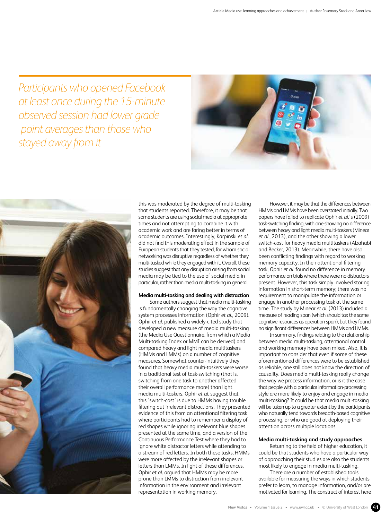*Participants who opened Facebook at least once during the 15-minute observed session had lower grade point averages than those who stayed away from it*





this was moderated by the degree of multi-tasking that students reported. Therefore, it may be that some students are using social media at appropriate times and not attempting to combine it with academic work and are faring better in terms of academic outcomes. Interestingly, Karpinski *et al*. did not find this moderating effect in the sample of European students that they tested, for whom social networking was disruptive regardless of whether they multi-tasked while they engaged with it. Overall, these studies suggest that any disruption arising from social media may be tied to the use of social media in particular, rather than media multi-tasking in general.

### **Media multi-tasking and dealing with distraction**

Some authors suggest that media multi-tasking is fundamentally changing the way the cognitive system processes information (Ophir *et al*., 2009). Ophir *et al*. published a widely-cited study that developed a new measure of media multi-tasking (the Media Use Questionnaire, from which a Media Multi-tasking Index or MMI can be derived) and compared heavy and light media multitaskers (HMMs and LMMs) on a number of cognitive measures. Somewhat counter-intuitively they found that heavy media multi-taskers were worse in a traditional test of task-switching (that is, switching from one task to another affected their overall performance more) than light media multi-taskers. Ophir *et al*. suggest that this 'switch-cost' is due to HMMs having trouble filtering out irrelevant distractions. They presented evidence of this from an attentional filtering task where participants had to remember a display of red shapes while ignoring irrelevant blue shapes presented at the same time, and a version of the Continuous Performance Test where they had to ignore white distractor letters while attending to a stream of red letters. In both these tasks, HMMs were more affected by the irrelevant shapes or letters than LMMs. In light of these differences, Ophir *et al*. argued that HMMs may be more prone than LMMs to distraction from irrelevant information in the environment and irrelevant representation in working memory.

However, it may be that the differences between HMMs and LMMs have been overstated initially. Two papers have failed to replicate Ophir *et al*.'s (2009) task-switching finding, with one showing no difference between heavy and light media multi-taskers (Minear *et al.*, 2013), and the other showing a lower switch-cost for heavy media multitaskers (Alzahabi and Becker, 2013). Meanwhile, there have also been conflicting findings with regard to working memory capacity. In their attentional filtering task, Ophir *et al*. found no difference in memory performance on trials where there were no distractors present. However, this task simply involved storing information in short-term memory; there was no requirement to manipulate the information or engage in another processing task at the same time. The study by Minear *et al*. (2013) included a measure of reading span (which should tax the same cognitive resources as operation span), but they found no significant differences between HMMs and LMMs.

In summary, findings relating to the relationship between media multi-tasking, attentional control and working memory have been mixed. Also, it is important to consider that even if some of these aforementioned differences were to be established as reliable, one still does not know the direction of causality. Does media multi-tasking really change the way we process information, or is it the case that people with a particular information-processing style are more likely to enjoy and engage in media multi-tasking? It could be that media multi-tasking will be taken up to a greater extent by the participants who naturally tend towards breadth-based cognitive processing, or who are good at deploying their attention across multiple locations.

### **Media multi-tasking and study approaches**

Returning to the field of higher education, it could be that students who have a particular way of approaching their studies are also the students most likely to engage in media multi-tasking.

There are a number of established tools available for measuring the ways in which students prefer to learn, to manage information, and/or are motivated for learning. The construct of interest here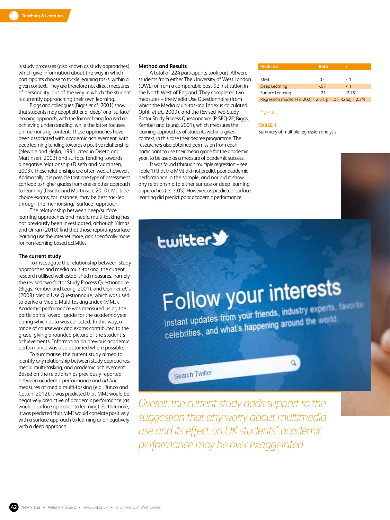is study processes (also known as study approaches), which give information about the way in which participants choose to tackle learning tasks, within a given context. They are therefore not direct measures of personality, but of the way in which the student is currently approaching their own learning.

Biggs and colleagues (Biggs *et al*., 2001) show that students may adopt either a 'deep' or a 'surface' learning approach, with the former being focused on achieving understanding, while the latter focuses on memorising content. These approaches have been associated with academic achievement, with deep learning tending towards a positive relationship (Newble and Hejka, 1991, cited in Diseth and Martinsen, 2003) and surface tending towards a negative relationship (Diseth and Martinsen, 2003). These relationships are often weak, however. Additionally, it is possible that one type of assessment can lead to higher grades from one or other approach to learning (Diseth, and Martinsen, 2010). Multiple choice exams, for instance, may be best tackled through the memorising, 'surface' approach.

The relationship between deep/surface learning approaches and media multi-tasking has not previously been investigated, although Yilmaz and Orhan (2010) find that those reporting surface learning use the internet more, and specifically more for non-learning based activities.

### **The current study**

To investigate the relationship between study approaches and media multi-tasking, the current research utilised well established measures, namely the revised two-factor Study Process Questionnaire (Biggs, Kember and Leung, 2001), and Ophir *et al*.'s (2009) Media Use Questionnaire, which was used to derive a Media Multi-tasking Index (MMI). Academic performance was measured using the participants' overall grade for the academic year during which data was collected. In this way, a range of coursework and exams contributed to the grade, giving a rounded picture of the student's achievements. Information on previous academic performance was also obtained where possible.

To summarise, the current study aimed to identify any relationship between study approaches, media multi-tasking, and academic achievement. Based on the relationships previously reported between academic performance and *ad hoc* measures of media multi-tasking (e.g., Junco and Cotten, 2012), it was predicted that MMI would be negatively predictive of academic performance (as would a surface approach to learning). Furthermore, it was predicted that MMI would correlate positively with a surface approach to learning and negatively with a deep approach.

### **Method and Results**

A total of 224 participants took part. All were students from either The University of West London (UWL) or from a comparable post-92 institution in the North West of England. They completed two measures – the Media Use Questionnaire (from which the Media Multi-tasking Index is calculated, Ophir *et al*., 2009), and the Revised Two-Study Factor Study Process Questionnaire (R-SPQ-2F; Biggs, Kember and Leung, 2001), which measures the learning approaches of students within a given context, in this case their degree programme. The researchers also obtained permission from each participant to use their mean grade for the academic year, to be used as a measure of academic success.

It was found (through multiple regression – see Table 1) that the MMI did not predict poor academic performance in the sample, and nor did it show any relationship to either surface or deep learning approaches (ps > .05). However, as predicted, surface learning did predict poor academic performance.

**Ewitter** 

| Predictor                                                       | <b>Beta</b> |          |
|-----------------------------------------------------------------|-------------|----------|
|                                                                 |             |          |
| MMI                                                             | - 02        | < 1      |
| Deep Learning                                                   | - 07        | $\leq 1$ |
| Surface Learning                                                | $-21$       | $-275**$ |
| Regression model: $F(3, 202) = 2.61$ , $p = .05$ , R2adj = 2.3% |             |          |

*\*\* p < .01*

**TABLE 1**

Summary of multiple regression analysis

# Follow your interests

Instant updates from your friends, industry experts, taxes Instant updates from your friends, mouse years in the world

 $\alpha$ 

Search Twitter

*Overall, the current study adds support to the suggestion that any worry about multimedia use and its effect on UK students' academic performance may be over exaggerated*